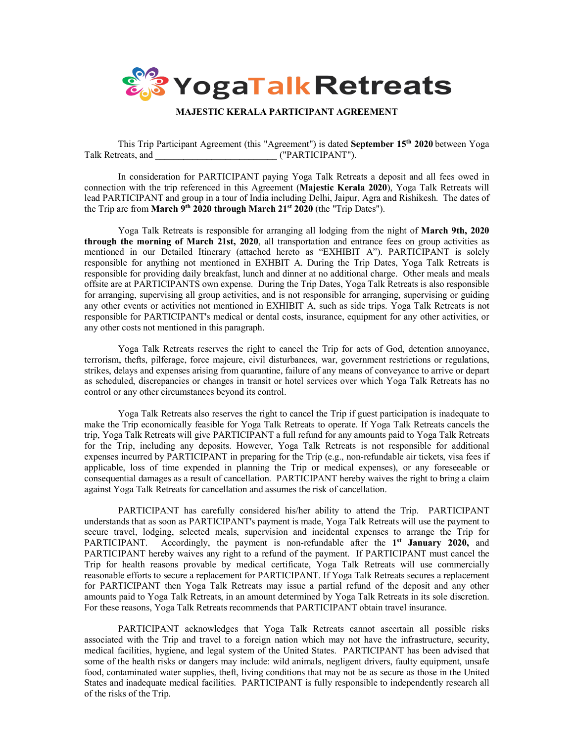

# **MAJESTIC KERALA PARTICIPANT AGREEMENT**

This Trip Participant Agreement (this "Agreement") is dated **September 15th 2020** between Yoga Talk Retreats, and \_\_\_\_\_\_\_\_\_\_\_\_\_\_\_\_\_\_\_\_\_\_\_\_\_\_ ("PARTICIPANT").

In consideration for PARTICIPANT paying Yoga Talk Retreats a deposit and all fees owed in connection with the trip referenced in this Agreement (**Majestic Kerala 2020**), Yoga Talk Retreats will lead PARTICIPANT and group in a tour of India including Delhi, Jaipur, Agra and Rishikesh. The dates of the Trip are from **March 9th 2020 through March 21st 2020** (the "Trip Dates").

Yoga Talk Retreats is responsible for arranging all lodging from the night of **March 9th, 2020 through the morning of March 21st, 2020**, all transportation and entrance fees on group activities as mentioned in our Detailed Itinerary (attached hereto as "EXHIBIT A"). PARTICIPANT is solely responsible for anything not mentioned in EXHBIT A. During the Trip Dates, Yoga Talk Retreats is responsible for providing daily breakfast, lunch and dinner at no additional charge. Other meals and meals offsite are at PARTICIPANTS own expense. During the Trip Dates, Yoga Talk Retreats is also responsible for arranging, supervising all group activities, and is not responsible for arranging, supervising or guiding any other events or activities not mentioned in EXHIBIT A, such as side trips. Yoga Talk Retreats is not responsible for PARTICIPANT's medical or dental costs, insurance, equipment for any other activities, or any other costs not mentioned in this paragraph.

Yoga Talk Retreats reserves the right to cancel the Trip for acts of God, detention annoyance, terrorism, thefts, pilferage, force majeure, civil disturbances, war, government restrictions or regulations, strikes, delays and expenses arising from quarantine, failure of any means of conveyance to arrive or depart as scheduled, discrepancies or changes in transit or hotel services over which Yoga Talk Retreats has no control or any other circumstances beyond its control.

Yoga Talk Retreats also reserves the right to cancel the Trip if guest participation is inadequate to make the Trip economically feasible for Yoga Talk Retreats to operate. If Yoga Talk Retreats cancels the trip, Yoga Talk Retreats will give PARTICIPANT a full refund for any amounts paid to Yoga Talk Retreats for the Trip, including any deposits. However, Yoga Talk Retreats is not responsible for additional expenses incurred by PARTICIPANT in preparing for the Trip (e.g., non-refundable air tickets, visa fees if applicable, loss of time expended in planning the Trip or medical expenses), or any foreseeable or consequential damages as a result of cancellation. PARTICIPANT hereby waives the right to bring a claim against Yoga Talk Retreats for cancellation and assumes the risk of cancellation.

PARTICIPANT has carefully considered his/her ability to attend the Trip. PARTICIPANT understands that as soon as PARTICIPANT's payment is made, Yoga Talk Retreats will use the payment to secure travel, lodging, selected meals, supervision and incidental expenses to arrange the Trip for PARTICIPANT. Accordingly, the payment is non-refundable after the **1st January 2020,** and PARTICIPANT hereby waives any right to a refund of the payment. If PARTICIPANT must cancel the Trip for health reasons provable by medical certificate, Yoga Talk Retreats will use commercially reasonable efforts to secure a replacement for PARTICIPANT. If Yoga Talk Retreats secures a replacement for PARTICIPANT then Yoga Talk Retreats may issue a partial refund of the deposit and any other amounts paid to Yoga Talk Retreats, in an amount determined by Yoga Talk Retreats in its sole discretion. For these reasons, Yoga Talk Retreats recommends that PARTICIPANT obtain travel insurance.

PARTICIPANT acknowledges that Yoga Talk Retreats cannot ascertain all possible risks associated with the Trip and travel to a foreign nation which may not have the infrastructure, security, medical facilities, hygiene, and legal system of the United States. PARTICIPANT has been advised that some of the health risks or dangers may include: wild animals, negligent drivers, faulty equipment, unsafe food, contaminated water supplies, theft, living conditions that may not be as secure as those in the United States and inadequate medical facilities. PARTICIPANT is fully responsible to independently research all of the risks of the Trip.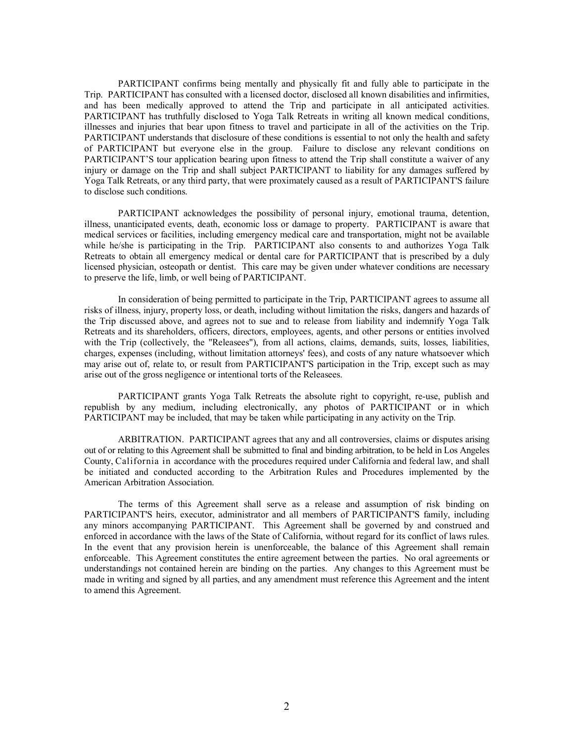PARTICIPANT confirms being mentally and physically fit and fully able to participate in the Trip. PARTICIPANT has consulted with a licensed doctor, disclosed all known disabilities and infirmities, and has been medically approved to attend the Trip and participate in all anticipated activities. PARTICIPANT has truthfully disclosed to Yoga Talk Retreats in writing all known medical conditions, illnesses and injuries that bear upon fitness to travel and participate in all of the activities on the Trip. PARTICIPANT understands that disclosure of these conditions is essential to not only the health and safety of PARTICIPANT but everyone else in the group. Failure to disclose any relevant conditions on PARTICIPANT'S tour application bearing upon fitness to attend the Trip shall constitute a waiver of any injury or damage on the Trip and shall subject PARTICIPANT to liability for any damages suffered by Yoga Talk Retreats, or any third party, that were proximately caused as a result of PARTICIPANT'S failure to disclose such conditions.

PARTICIPANT acknowledges the possibility of personal injury, emotional trauma, detention, illness, unanticipated events, death, economic loss or damage to property. PARTICIPANT is aware that medical services or facilities, including emergency medical care and transportation, might not be available while he/she is participating in the Trip. PARTICIPANT also consents to and authorizes Yoga Talk Retreats to obtain all emergency medical or dental care for PARTICIPANT that is prescribed by a duly licensed physician, osteopath or dentist. This care may be given under whatever conditions are necessary to preserve the life, limb, or well being of PARTICIPANT.

In consideration of being permitted to participate in the Trip, PARTICIPANT agrees to assume all risks of illness, injury, property loss, or death, including without limitation the risks, dangers and hazards of the Trip discussed above, and agrees not to sue and to release from liability and indemnify Yoga Talk Retreats and its shareholders, officers, directors, employees, agents, and other persons or entities involved with the Trip (collectively, the "Releasees"), from all actions, claims, demands, suits, losses, liabilities, charges, expenses (including, without limitation attorneys' fees), and costs of any nature whatsoever which may arise out of, relate to, or result from PARTICIPANT'S participation in the Trip, except such as may arise out of the gross negligence or intentional torts of the Releasees.

PARTICIPANT grants Yoga Talk Retreats the absolute right to copyright, re-use, publish and republish by any medium, including electronically, any photos of PARTICIPANT or in which PARTICIPANT may be included, that may be taken while participating in any activity on the Trip.

ARBITRATION. PARTICIPANT agrees that any and all controversies, claims or disputes arising out of or relating to this Agreement shall be submitted to final and binding arbitration, to be held in Los Angeles County, California in accordance with the procedures required under California and federal law, and shall be initiated and conducted according to the Arbitration Rules and Procedures implemented by the American Arbitration Association.

The terms of this Agreement shall serve as a release and assumption of risk binding on PARTICIPANT'S heirs, executor, administrator and all members of PARTICIPANT'S family, including any minors accompanying PARTICIPANT. This Agreement shall be governed by and construed and enforced in accordance with the laws of the State of California, without regard for its conflict of laws rules. In the event that any provision herein is unenforceable, the balance of this Agreement shall remain enforceable. This Agreement constitutes the entire agreement between the parties. No oral agreements or understandings not contained herein are binding on the parties. Any changes to this Agreement must be made in writing and signed by all parties, and any amendment must reference this Agreement and the intent to amend this Agreement.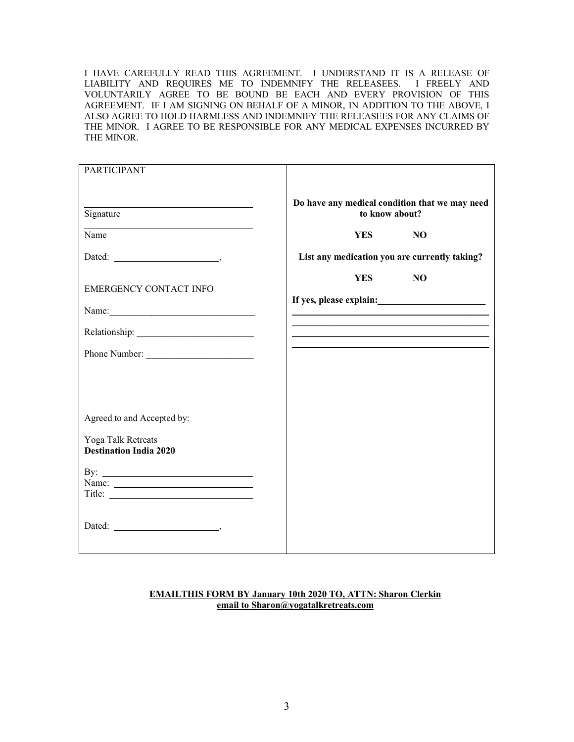I HAVE CAREFULLY READ THIS AGREEMENT. I UNDERSTAND IT IS A RELEASE OF LIABILITY AND REQUIRES ME TO INDEMNIFY THE RELEASEES. I FREELY AND VOLUNTARILY AGREE TO BE BOUND BE EACH AND EVERY PROVISION OF THIS AGREEMENT. IF I AM SIGNING ON BEHALF OF A MINOR, IN ADDITION TO THE ABOVE, I ALSO AGREE TO HOLD HARMLESS AND INDEMNIFY THE RELEASEES FOR ANY CLAIMS OF THE MINOR. I AGREE TO BE RESPONSIBLE FOR ANY MEDICAL EXPENSES INCURRED BY THE MINOR.

| <b>PARTICIPANT</b>                                  |                                                                                                                        |
|-----------------------------------------------------|------------------------------------------------------------------------------------------------------------------------|
| Signature                                           | Do have any medical condition that we may need<br>to know about?                                                       |
| Name                                                | <b>YES</b><br>N <sub>O</sub>                                                                                           |
| Dated: $\qquad \qquad$                              | List any medication you are currently taking?                                                                          |
| <b>EMERGENCY CONTACT INFO</b>                       | <b>YES</b><br>N <sub>O</sub><br>If yes, please explain:                                                                |
| Name:                                               |                                                                                                                        |
|                                                     | <u> 1989 - Johann John Stone, mars et al. 1989 - John Stone, mars et al. 1989 - John Stone, mars et al. 1989 - Joh</u> |
| Phone Number:                                       |                                                                                                                        |
|                                                     |                                                                                                                        |
|                                                     |                                                                                                                        |
| Agreed to and Accepted by:                          |                                                                                                                        |
| Yoga Talk Retreats<br><b>Destination India 2020</b> |                                                                                                                        |
| By: $\qquad \qquad$                                 |                                                                                                                        |
|                                                     |                                                                                                                        |
|                                                     |                                                                                                                        |

# **EMAILTHIS FORM BY January 10th 2020 TO, ATTN: Sharon Clerkin email to Sharon@yogatalkretreats.com**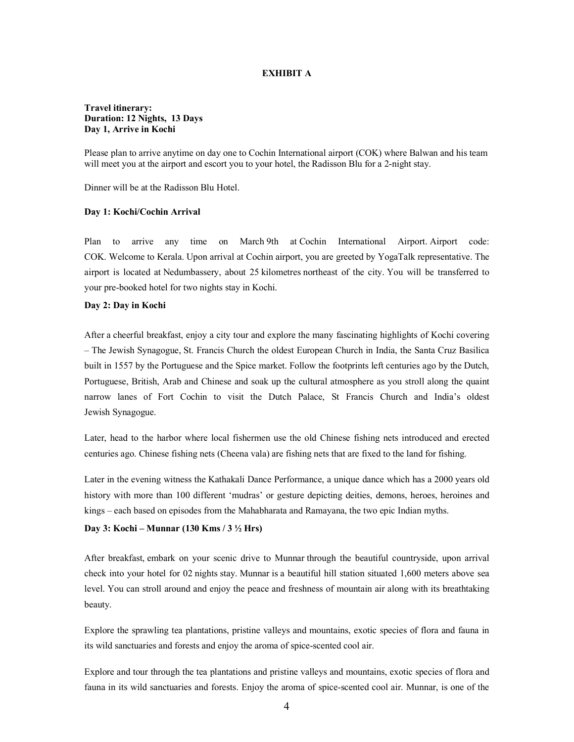## **EXHIBIT A**

# **Travel itinerary: Duration: 12 Nights, 13 Days Day 1, Arrive in Kochi**

Please plan to arrive anytime on day one to Cochin International airport (COK) where Balwan and his team will meet you at the airport and escort you to your hotel, the Radisson Blu for a 2-night stay.

Dinner will be at the Radisson Blu Hotel.

### **Day 1: Kochi/Cochin Arrival**

Plan to arrive any time on March 9th at Cochin International Airport. Airport code: COK. Welcome to Kerala. Upon arrival at Cochin airport, you are greeted by YogaTalk representative. The airport is located at Nedumbassery, about 25 kilometres northeast of the city. You will be transferred to your pre-booked hotel for two nights stay in Kochi.

#### **Day 2: Day in Kochi**

After a cheerful breakfast, enjoy a city tour and explore the many fascinating highlights of Kochi covering – The Jewish Synagogue, St. Francis Church the oldest European Church in India, the Santa Cruz Basilica built in 1557 by the Portuguese and the Spice market. Follow the footprints left centuries ago by the Dutch, Portuguese, British, Arab and Chinese and soak up the cultural atmosphere as you stroll along the quaint narrow lanes of Fort Cochin to visit the Dutch Palace, St Francis Church and India's oldest Jewish Synagogue.

Later, head to the harbor where local fishermen use the old Chinese fishing nets introduced and erected centuries ago. Chinese fishing nets (Cheena vala) are fishing nets that are fixed to the land for fishing.

Later in the evening witness the Kathakali Dance Performance, a unique dance which has a 2000 years old history with more than 100 different 'mudras' or gesture depicting deities, demons, heroes, heroines and kings – each based on episodes from the Mahabharata and Ramayana, the two epic Indian myths.

### **Day 3: Kochi – Munnar (130 Kms / 3 ½ Hrs)**

After breakfast, embark on your scenic drive to Munnar through the beautiful countryside, upon arrival check into your hotel for 02 nights stay. Munnar is a beautiful hill station situated 1,600 meters above sea level. You can stroll around and enjoy the peace and freshness of mountain air along with its breathtaking beauty.

Explore the sprawling tea plantations, pristine valleys and mountains, exotic species of flora and fauna in its wild sanctuaries and forests and enjoy the aroma of spice-scented cool air.

Explore and tour through the tea plantations and pristine valleys and mountains, exotic species of flora and fauna in its wild sanctuaries and forests. Enjoy the aroma of spice-scented cool air. Munnar, is one of the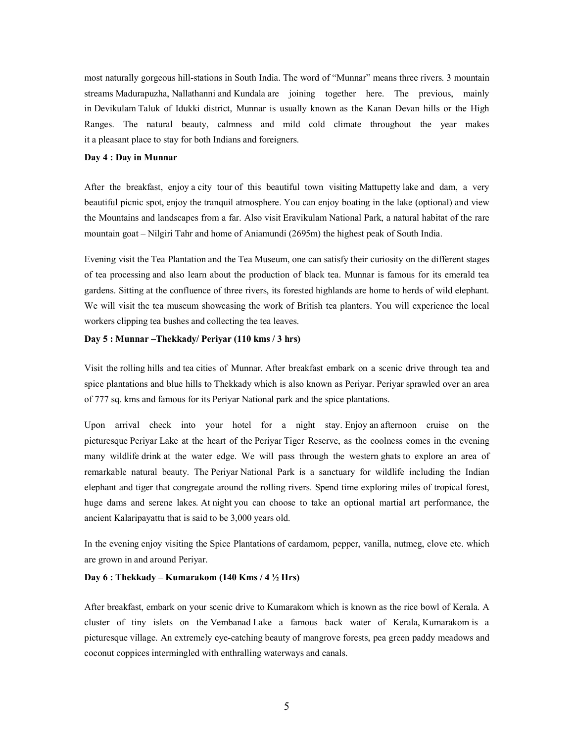most naturally gorgeous hill-stations in South India. The word of "Munnar" means three rivers. 3 mountain streams Madurapuzha, Nallathanni and Kundala are joining together here. The previous, mainly in Devikulam Taluk of Idukki district, Munnar is usually known as the Kanan Devan hills or the High Ranges. The natural beauty, calmness and mild cold climate throughout the year makes it a pleasant place to stay for both Indians and foreigners.

### **Day 4 : Day in Munnar**

After the breakfast, enjoy a city tour of this beautiful town visiting Mattupetty lake and dam, a very beautiful picnic spot, enjoy the tranquil atmosphere. You can enjoy boating in the lake (optional) and view the Mountains and landscapes from a far. Also visit Eravikulam National Park, a natural habitat of the rare mountain goat – Nilgiri Tahr and home of Aniamundi (2695m) the highest peak of South India.

Evening visit the Tea Plantation and the Tea Museum, one can satisfy their curiosity on the different stages of tea processing and also learn about the production of black tea. Munnar is famous for its emerald tea gardens. Sitting at the confluence of three rivers, its forested highlands are home to herds of wild elephant. We will visit the tea museum showcasing the work of British tea planters. You will experience the local workers clipping tea bushes and collecting the tea leaves.

# **Day 5 : Munnar –Thekkady/ Periyar (110 kms / 3 hrs)**

Visit the rolling hills and tea cities of Munnar. After breakfast embark on a scenic drive through tea and spice plantations and blue hills to Thekkady which is also known as Periyar. Periyar sprawled over an area of 777 sq. kms and famous for its Periyar National park and the spice plantations.

Upon arrival check into your hotel for a night stay. Enjoy an afternoon cruise on the picturesque Periyar Lake at the heart of the Periyar Tiger Reserve, as the coolness comes in the evening many wildlife drink at the water edge. We will pass through the western ghats to explore an area of remarkable natural beauty. The Periyar National Park is a sanctuary for wildlife including the Indian elephant and tiger that congregate around the rolling rivers. Spend time exploring miles of tropical forest, huge dams and serene lakes. At night you can choose to take an optional martial art performance, the ancient Kalaripayattu that is said to be 3,000 years old.

In the evening enjoy visiting the Spice Plantations of cardamom, pepper, vanilla, nutmeg, clove etc. which are grown in and around Periyar.

# **Day 6 : Thekkady – Kumarakom (140 Kms / 4 ½ Hrs)**

After breakfast, embark on your scenic drive to Kumarakom which is known as the rice bowl of Kerala. A cluster of tiny islets on the Vembanad Lake a famous back water of Kerala, Kumarakom is a picturesque village. An extremely eye-catching beauty of mangrove forests, pea green paddy meadows and coconut coppices intermingled with enthralling waterways and canals.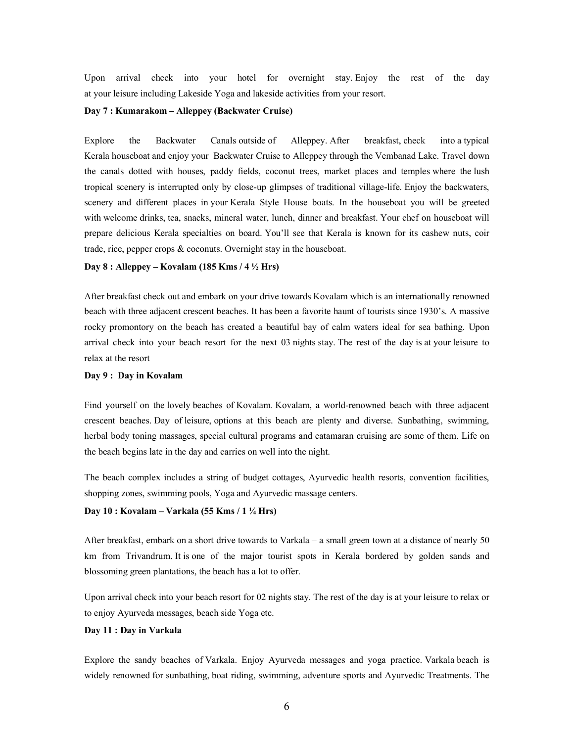Upon arrival check into your hotel for overnight stay. Enjoy the rest of the day at your leisure including Lakeside Yoga and lakeside activities from your resort.

### **Day 7 : Kumarakom – Alleppey (Backwater Cruise)**

Explore the Backwater Canals outside of Alleppey. After breakfast, check into a typical Kerala houseboat and enjoy your Backwater Cruise to Alleppey through the Vembanad Lake. Travel down the canals dotted with houses, paddy fields, coconut trees, market places and temples where the lush tropical scenery is interrupted only by close-up glimpses of traditional village-life. Enjoy the backwaters, scenery and different places in your Kerala Style House boats. In the houseboat you will be greeted with welcome drinks, tea, snacks, mineral water, lunch, dinner and breakfast. Your chef on houseboat will prepare delicious Kerala specialties on board. You'll see that Kerala is known for its cashew nuts, coir trade, rice, pepper crops & coconuts. Overnight stay in the houseboat.

### **Day 8 : Alleppey – Kovalam (185 Kms / 4 ½ Hrs)**

After breakfast check out and embark on your drive towards Kovalam which is an internationally renowned beach with three adjacent crescent beaches. It has been a favorite haunt of tourists since 1930's. A massive rocky promontory on the beach has created a beautiful bay of calm waters ideal for sea bathing. Upon arrival check into your beach resort for the next 03 nights stay. The rest of the day is at your leisure to relax at the resort

### **Day 9 : Day in Kovalam**

Find yourself on the lovely beaches of Kovalam. Kovalam, a world-renowned beach with three adjacent crescent beaches. Day of leisure, options at this beach are plenty and diverse. Sunbathing, swimming, herbal body toning massages, special cultural programs and catamaran cruising are some of them. Life on the beach begins late in the day and carries on well into the night.

The beach complex includes a string of budget cottages, Ayurvedic health resorts, convention facilities, shopping zones, swimming pools, Yoga and Ayurvedic massage centers.

#### **Day 10 : Kovalam – Varkala (55 Kms / 1 ¼ Hrs)**

After breakfast, embark on a short drive towards to Varkala – a small green town at a distance of nearly 50 km from Trivandrum. It is one of the major tourist spots in Kerala bordered by golden sands and blossoming green plantations, the beach has a lot to offer.

Upon arrival check into your beach resort for 02 nights stay. The rest of the day is at your leisure to relax or to enjoy Ayurveda messages, beach side Yoga etc.

#### **Day 11 : Day in Varkala**

Explore the sandy beaches of Varkala. Enjoy Ayurveda messages and yoga practice. Varkala beach is widely renowned for sunbathing, boat riding, swimming, adventure sports and Ayurvedic Treatments. The